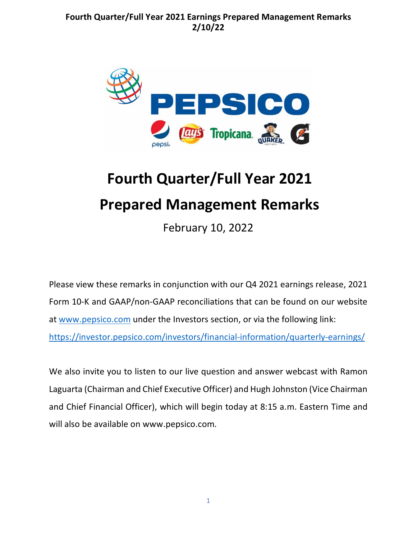

# **Fourth Quarter/Full Year 2021 Prepared Management Remarks**

February 10, 2022

Please view these remarks in conjunction with our Q4 2021 earnings release, 2021 Form 10-K and GAAP/non-GAAP reconciliations that can be found on our website at [www.pepsico.com](http://www.pepsico.com/) under the Investors section, or via the following link: <https://investor.pepsico.com/investors/financial-information/quarterly-earnings/>

We also invite you to listen to our live question and answer webcast with Ramon Laguarta (Chairman and Chief Executive Officer) and Hugh Johnston (Vice Chairman and Chief Financial Officer), which will begin today at 8:15 a.m. Eastern Time and will also be available on www.pepsico.com.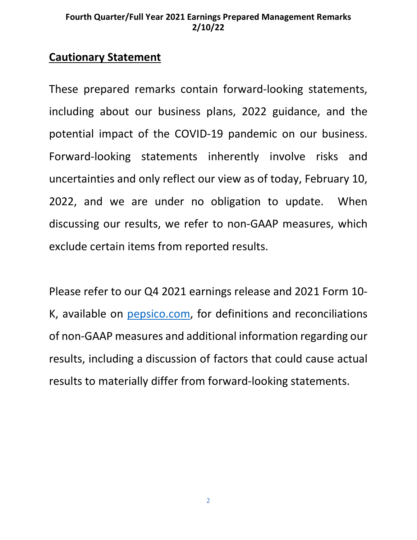# **Cautionary Statement**

These prepared remarks contain forward-looking statements, including about our business plans, 2022 guidance, and the potential impact of the COVID-19 pandemic on our business. Forward-looking statements inherently involve risks and uncertainties and only reflect our view as of today, February 10, 2022, and we are under no obligation to update. When discussing our results, we refer to non-GAAP measures, which exclude certain items from reported results.

Please refer to our Q4 2021 earnings release and 2021 Form 10- K, available on [pepsico.com,](http://pepsico.com/) for definitions and reconciliations of non-GAAP measures and additional information regarding our results, including a discussion of factors that could cause actual results to materially differ from forward-looking statements.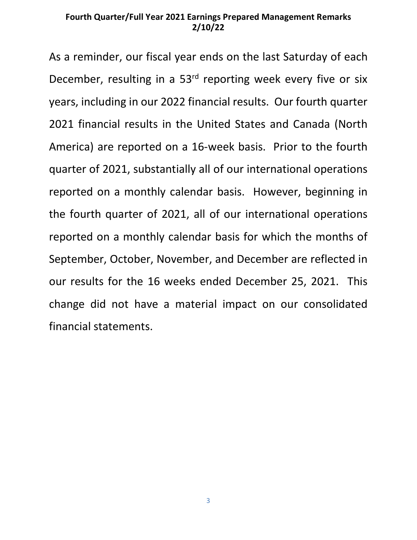As a reminder, our fiscal year ends on the last Saturday of each December, resulting in a  $53<sup>rd</sup>$  reporting week every five or six years, including in our 2022 financial results. Our fourth quarter 2021 financial results in the United States and Canada (North America) are reported on a 16-week basis. Prior to the fourth quarter of 2021, substantially all of our international operations reported on a monthly calendar basis. However, beginning in the fourth quarter of 2021, all of our international operations reported on a monthly calendar basis for which the months of September, October, November, and December are reflected in our results for the 16 weeks ended December 25, 2021. This change did not have a material impact on our consolidated financial statements.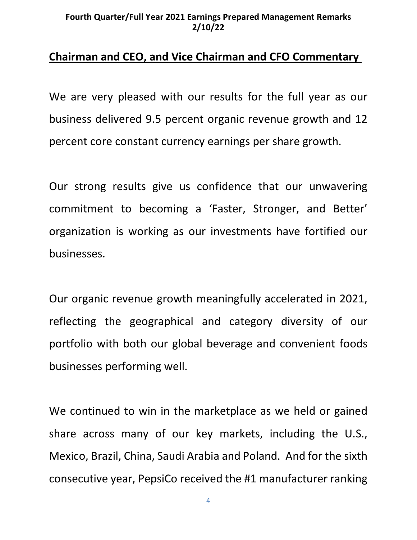# **Chairman and CEO, and Vice Chairman and CFO Commentary**

We are very pleased with our results for the full year as our business delivered 9.5 percent organic revenue growth and 12 percent core constant currency earnings per share growth.

Our strong results give us confidence that our unwavering commitment to becoming a 'Faster, Stronger, and Better' organization is working as our investments have fortified our businesses.

Our organic revenue growth meaningfully accelerated in 2021, reflecting the geographical and category diversity of our portfolio with both our global beverage and convenient foods businesses performing well.

We continued to win in the marketplace as we held or gained share across many of our key markets, including the U.S., Mexico, Brazil, China, Saudi Arabia and Poland. And for the sixth consecutive year, PepsiCo received the #1 manufacturer ranking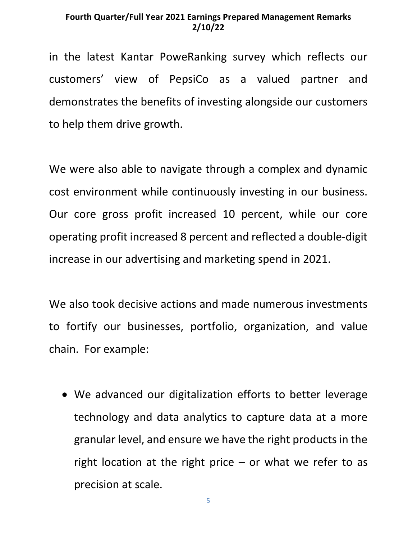in the latest Kantar PoweRanking survey which reflects our customers' view of PepsiCo as a valued partner and demonstrates the benefits of investing alongside our customers to help them drive growth.

We were also able to navigate through a complex and dynamic cost environment while continuously investing in our business. Our core gross profit increased 10 percent, while our core operating profit increased 8 percent and reflected a double-digit increase in our advertising and marketing spend in 2021.

We also took decisive actions and made numerous investments to fortify our businesses, portfolio, organization, and value chain. For example:

• We advanced our digitalization efforts to better leverage technology and data analytics to capture data at a more granular level, and ensure we have the right products in the right location at the right price  $-$  or what we refer to as precision at scale.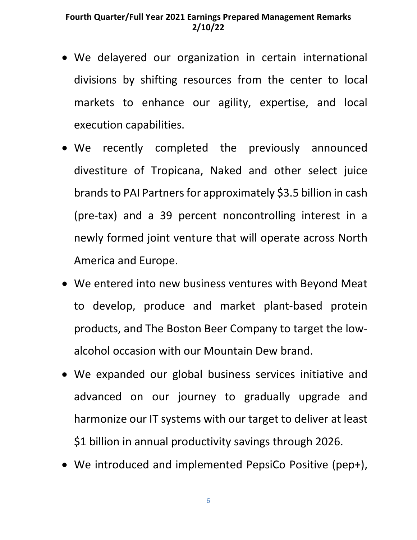- We delayered our organization in certain international divisions by shifting resources from the center to local markets to enhance our agility, expertise, and local execution capabilities.
- We recently completed the previously announced divestiture of Tropicana, Naked and other select juice brands to PAI Partners for approximately \$3.5 billion in cash (pre-tax) and a 39 percent noncontrolling interest in a newly formed joint venture that will operate across North America and Europe.
- We entered into new business ventures with Beyond Meat to develop, produce and market plant-based protein products, and The Boston Beer Company to target the lowalcohol occasion with our Mountain Dew brand.
- We expanded our global business services initiative and advanced on our journey to gradually upgrade and harmonize our IT systems with our target to deliver at least \$1 billion in annual productivity savings through 2026.
- We introduced and implemented PepsiCo Positive (pep+),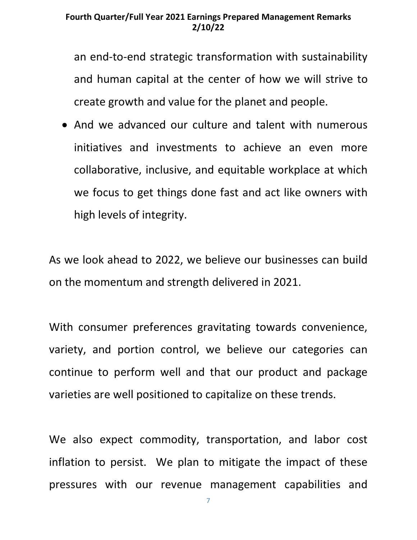an end-to-end strategic transformation with sustainability and human capital at the center of how we will strive to create growth and value for the planet and people.

• And we advanced our culture and talent with numerous initiatives and investments to achieve an even more collaborative, inclusive, and equitable workplace at which we focus to get things done fast and act like owners with high levels of integrity.

As we look ahead to 2022, we believe our businesses can build on the momentum and strength delivered in 2021.

With consumer preferences gravitating towards convenience, variety, and portion control, we believe our categories can continue to perform well and that our product and package varieties are well positioned to capitalize on these trends.

We also expect commodity, transportation, and labor cost inflation to persist. We plan to mitigate the impact of these pressures with our revenue management capabilities and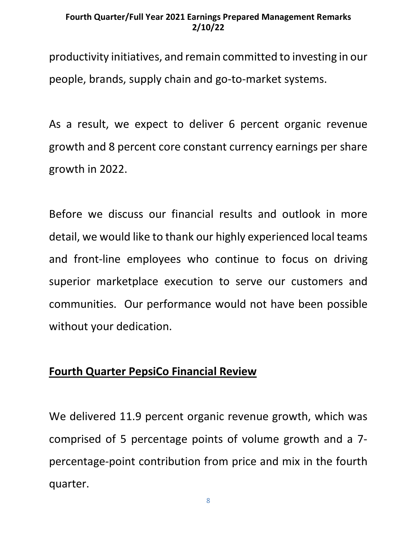productivity initiatives, and remain committed to investing in our people, brands, supply chain and go-to-market systems.

As a result, we expect to deliver 6 percent organic revenue growth and 8 percent core constant currency earnings per share growth in 2022.

Before we discuss our financial results and outlook in more detail, we would like to thank our highly experienced local teams and front-line employees who continue to focus on driving superior marketplace execution to serve our customers and communities. Our performance would not have been possible without your dedication.

## **Fourth Quarter PepsiCo Financial Review**

We delivered 11.9 percent organic revenue growth, which was comprised of 5 percentage points of volume growth and a 7 percentage-point contribution from price and mix in the fourth quarter.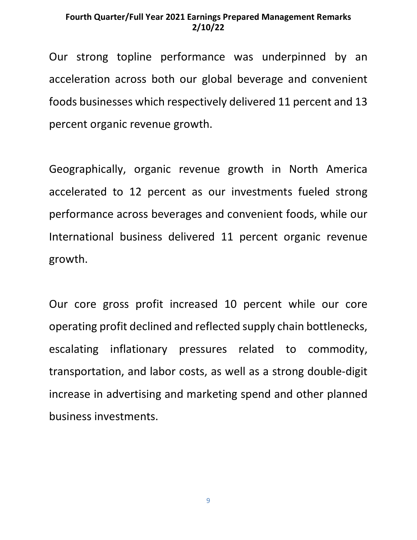Our strong topline performance was underpinned by an acceleration across both our global beverage and convenient foods businesses which respectively delivered 11 percent and 13 percent organic revenue growth.

Geographically, organic revenue growth in North America accelerated to 12 percent as our investments fueled strong performance across beverages and convenient foods, while our International business delivered 11 percent organic revenue growth.

Our core gross profit increased 10 percent while our core operating profit declined and reflected supply chain bottlenecks, escalating inflationary pressures related to commodity, transportation, and labor costs, as well as a strong double-digit increase in advertising and marketing spend and other planned business investments.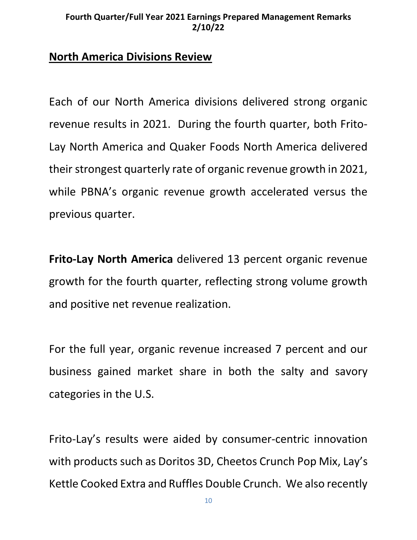## **North America Divisions Review**

Each of our North America divisions delivered strong organic revenue results in 2021. During the fourth quarter, both Frito-Lay North America and Quaker Foods North America delivered their strongest quarterly rate of organic revenue growth in 2021, while PBNA's organic revenue growth accelerated versus the previous quarter.

**Frito-Lay North America** delivered 13 percent organic revenue growth for the fourth quarter, reflecting strong volume growth and positive net revenue realization.

For the full year, organic revenue increased 7 percent and our business gained market share in both the salty and savory categories in the U.S.

Frito-Lay's results were aided by consumer-centric innovation with products such as Doritos 3D, Cheetos Crunch Pop Mix, Lay's Kettle Cooked Extra and Ruffles Double Crunch. We also recently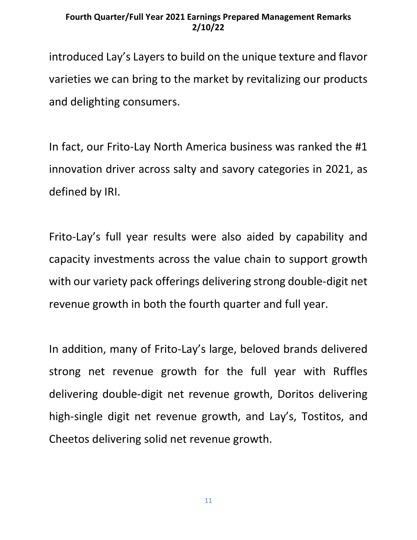introduced Lay's Layers to build on the unique texture and flavor varieties we can bring to the market by revitalizing our products and delighting consumers.

In fact, our Frito-Lay North America business was ranked the #1 innovation driver across salty and savory categories in 2021, as defined by IRI.

Frito-Lay's full year results were also aided by capability and capacity investments across the value chain to support growth with our variety pack offerings delivering strong double-digit net revenue growth in both the fourth quarter and full year.

In addition, many of Frito-Lay's large, beloved brands delivered strong net revenue growth for the full year with Ruffles delivering double-digit net revenue growth, Doritos delivering high-single digit net revenue growth, and Lay's, Tostitos, and Cheetos delivering solid net revenue growth.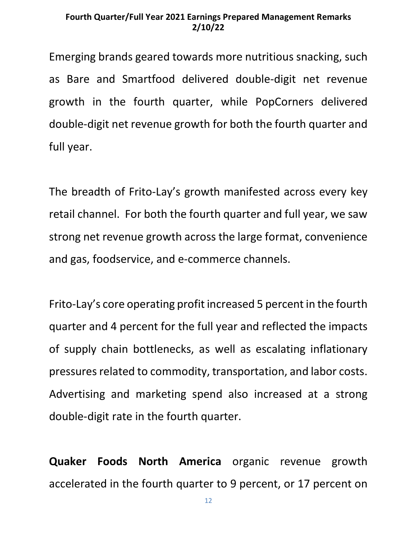Emerging brands geared towards more nutritious snacking, such as Bare and Smartfood delivered double-digit net revenue growth in the fourth quarter, while PopCorners delivered double-digit net revenue growth for both the fourth quarter and full year.

The breadth of Frito-Lay's growth manifested across every key retail channel. For both the fourth quarter and full year, we saw strong net revenue growth across the large format, convenience and gas, foodservice, and e-commerce channels.

Frito-Lay's core operating profit increased 5 percent in the fourth quarter and 4 percent for the full year and reflected the impacts of supply chain bottlenecks, as well as escalating inflationary pressures related to commodity, transportation, and labor costs. Advertising and marketing spend also increased at a strong double-digit rate in the fourth quarter.

**Quaker Foods North America** organic revenue growth accelerated in the fourth quarter to 9 percent, or 17 percent on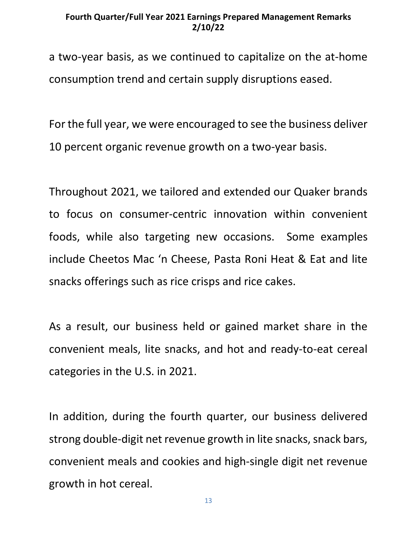a two-year basis, as we continued to capitalize on the at-home consumption trend and certain supply disruptions eased.

For the full year, we were encouraged to see the business deliver 10 percent organic revenue growth on a two-year basis.

Throughout 2021, we tailored and extended our Quaker brands to focus on consumer-centric innovation within convenient foods, while also targeting new occasions. Some examples include Cheetos Mac 'n Cheese, Pasta Roni Heat & Eat and lite snacks offerings such as rice crisps and rice cakes.

As a result, our business held or gained market share in the convenient meals, lite snacks, and hot and ready-to-eat cereal categories in the U.S. in 2021.

In addition, during the fourth quarter, our business delivered strong double-digit net revenue growth in lite snacks, snack bars, convenient meals and cookies and high-single digit net revenue growth in hot cereal.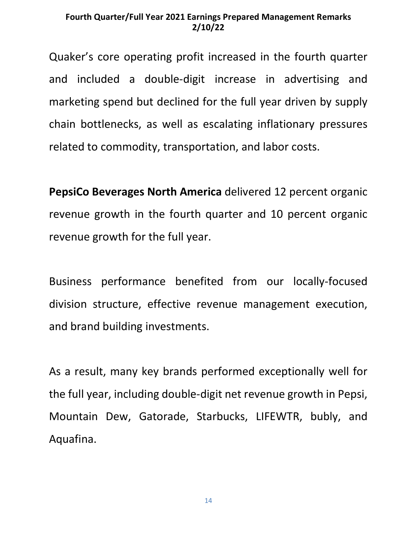Quaker's core operating profit increased in the fourth quarter and included a double-digit increase in advertising and marketing spend but declined for the full year driven by supply chain bottlenecks, as well as escalating inflationary pressures related to commodity, transportation, and labor costs.

**PepsiCo Beverages North America** delivered 12 percent organic revenue growth in the fourth quarter and 10 percent organic revenue growth for the full year.

Business performance benefited from our locally-focused division structure, effective revenue management execution, and brand building investments.

As a result, many key brands performed exceptionally well for the full year, including double-digit net revenue growth in Pepsi, Mountain Dew, Gatorade, Starbucks, LIFEWTR, bubly, and Aquafina.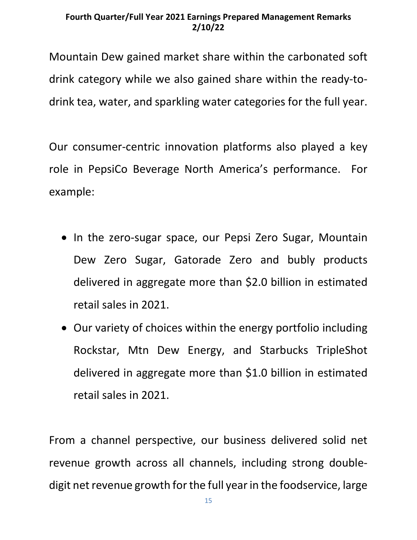Mountain Dew gained market share within the carbonated soft drink category while we also gained share within the ready-todrink tea, water, and sparkling water categories for the full year.

Our consumer-centric innovation platforms also played a key role in PepsiCo Beverage North America's performance. For example:

- In the zero-sugar space, our Pepsi Zero Sugar, Mountain Dew Zero Sugar, Gatorade Zero and bubly products delivered in aggregate more than \$2.0 billion in estimated retail sales in 2021.
- Our variety of choices within the energy portfolio including Rockstar, Mtn Dew Energy, and Starbucks TripleShot delivered in aggregate more than \$1.0 billion in estimated retail sales in 2021.

From a channel perspective, our business delivered solid net revenue growth across all channels, including strong doubledigit net revenue growth for the full year in the foodservice, large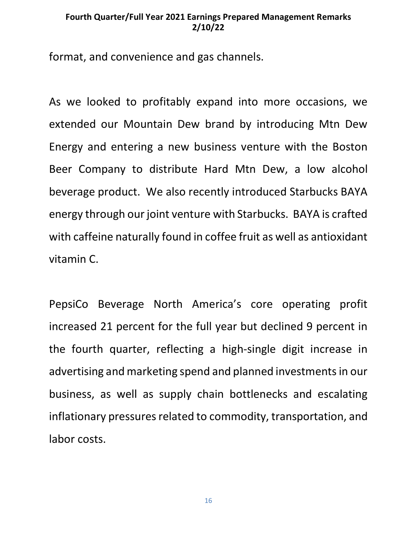format, and convenience and gas channels.

As we looked to profitably expand into more occasions, we extended our Mountain Dew brand by introducing Mtn Dew Energy and entering a new business venture with the Boston Beer Company to distribute Hard Mtn Dew, a low alcohol beverage product. We also recently introduced Starbucks BAYA energy through our joint venture with Starbucks. BAYA is crafted with caffeine naturally found in coffee fruit as well as antioxidant vitamin C.

PepsiCo Beverage North America's core operating profit increased 21 percent for the full year but declined 9 percent in the fourth quarter, reflecting a high-single digit increase in advertising and marketing spend and planned investments in our business, as well as supply chain bottlenecks and escalating inflationary pressures related to commodity, transportation, and labor costs.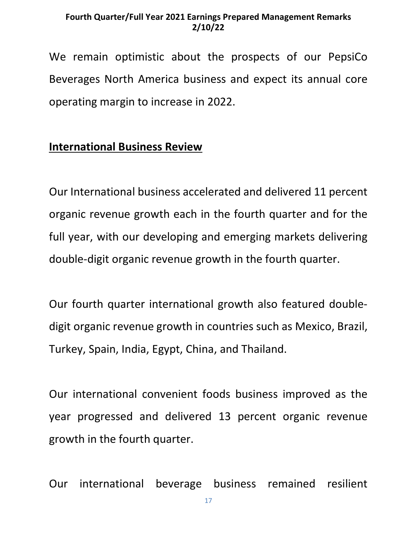We remain optimistic about the prospects of our PepsiCo Beverages North America business and expect its annual core operating margin to increase in 2022.

# **International Business Review**

Our International business accelerated and delivered 11 percent organic revenue growth each in the fourth quarter and for the full year, with our developing and emerging markets delivering double-digit organic revenue growth in the fourth quarter.

Our fourth quarter international growth also featured doubledigit organic revenue growth in countries such as Mexico, Brazil, Turkey, Spain, India, Egypt, China, and Thailand.

Our international convenient foods business improved as the year progressed and delivered 13 percent organic revenue growth in the fourth quarter.

Our international beverage business remained resilient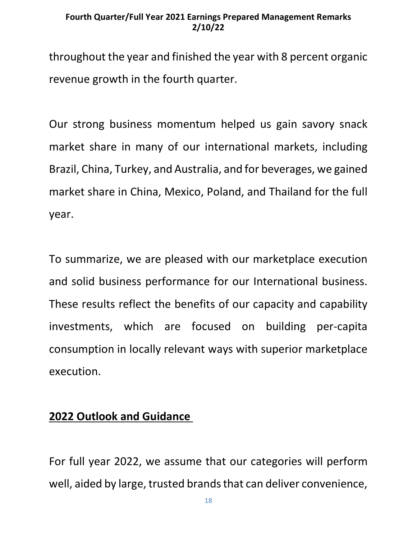throughout the year and finished the year with 8 percent organic revenue growth in the fourth quarter.

Our strong business momentum helped us gain savory snack market share in many of our international markets, including Brazil, China, Turkey, and Australia, and for beverages, we gained market share in China, Mexico, Poland, and Thailand for the full year.

To summarize, we are pleased with our marketplace execution and solid business performance for our International business. These results reflect the benefits of our capacity and capability investments, which are focused on building per-capita consumption in locally relevant ways with superior marketplace execution.

## **2022 Outlook and Guidance**

For full year 2022, we assume that our categories will perform well, aided by large, trusted brands that can deliver convenience,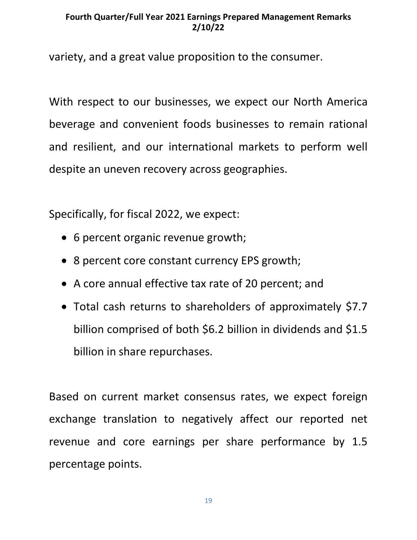variety, and a great value proposition to the consumer.

With respect to our businesses, we expect our North America beverage and convenient foods businesses to remain rational and resilient, and our international markets to perform well despite an uneven recovery across geographies.

Specifically, for fiscal 2022, we expect:

- 6 percent organic revenue growth;
- 8 percent core constant currency EPS growth;
- A core annual effective tax rate of 20 percent; and
- Total cash returns to shareholders of approximately \$7.7 billion comprised of both \$6.2 billion in dividends and \$1.5 billion in share repurchases.

Based on current market consensus rates, we expect foreign exchange translation to negatively affect our reported net revenue and core earnings per share performance by 1.5 percentage points.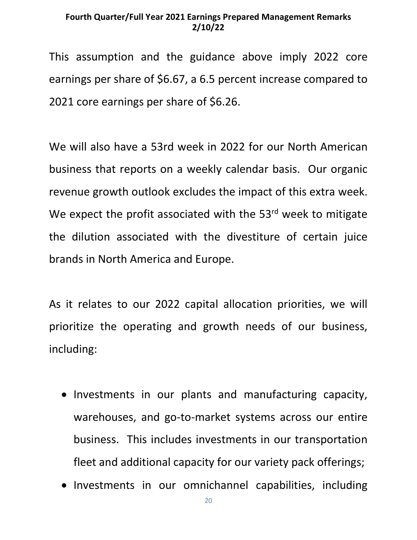This assumption and the guidance above imply 2022 core earnings per share of \$6.67, a 6.5 percent increase compared to 2021 core earnings per share of \$6.26.

We will also have a 53rd week in 2022 for our North American business that reports on a weekly calendar basis. Our organic revenue growth outlook excludes the impact of this extra week. We expect the profit associated with the 53<sup>rd</sup> week to mitigate the dilution associated with the divestiture of certain juice brands in North America and Europe.

As it relates to our 2022 capital allocation priorities, we will prioritize the operating and growth needs of our business, including:

- Investments in our plants and manufacturing capacity, warehouses, and go-to-market systems across our entire business. This includes investments in our transportation fleet and additional capacity for our variety pack offerings;
- Investments in our omnichannel capabilities, including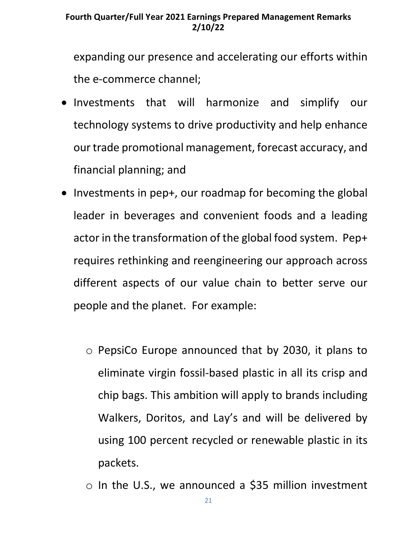expanding our presence and accelerating our efforts within the e-commerce channel;

- Investments that will harmonize and simplify our technology systems to drive productivity and help enhance our trade promotional management, forecast accuracy, and financial planning; and
- Investments in pep+, our roadmap for becoming the global leader in beverages and convenient foods and a leading actor in the transformation of the global food system. Pep+ requires rethinking and reengineering our approach across different aspects of our value chain to better serve our people and the planet. For example:
	- o PepsiCo Europe announced that by 2030, it plans to eliminate virgin fossil-based plastic in all its crisp and chip bags. This ambition will apply to brands including Walkers, Doritos, and Lay's and will be delivered by using 100 percent recycled or renewable plastic in its packets.
	- o In the U.S., we announced a \$35 million investment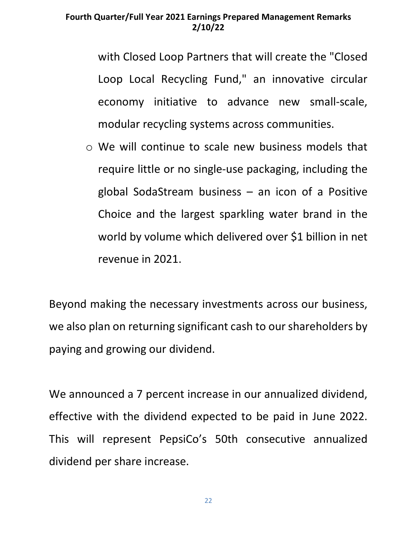with Closed Loop Partners that will create the "Closed Loop Local Recycling Fund," an innovative circular economy initiative to advance new small-scale, modular recycling systems across communities.

o We will continue to scale new business models that require little or no single-use packaging, including the global SodaStream business – an icon of a Positive Choice and the largest sparkling water brand in the world by volume which delivered over \$1 billion in net revenue in 2021.

Beyond making the necessary investments across our business, we also plan on returning significant cash to our shareholders by paying and growing our dividend.

We announced a 7 percent increase in our annualized dividend, effective with the dividend expected to be paid in June 2022. This will represent PepsiCo's 50th consecutive annualized dividend per share increase.